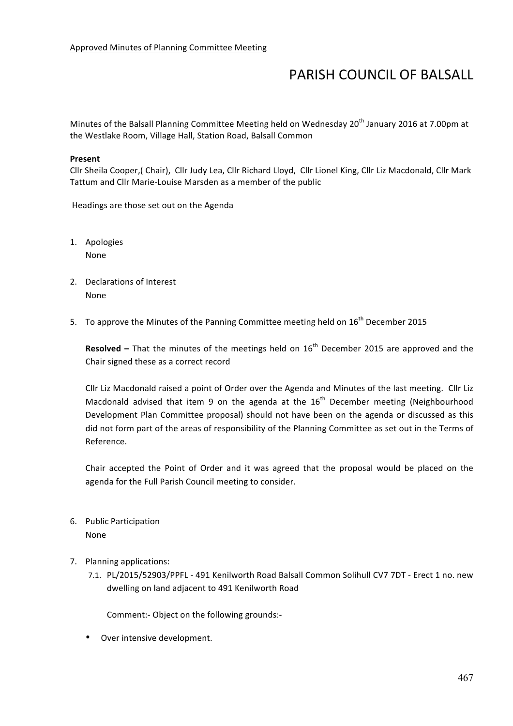## PARISH COUNCIL OF BALSALL

Minutes of the Balsall Planning Committee Meeting held on Wednesday 20<sup>th</sup> January 2016 at 7.00pm at the Westlake Room, Village Hall, Station Road, Balsall Common

## **Present**

Cllr Sheila Cooper,( Chair), Cllr Judy Lea, Cllr Richard Lloyd, Cllr Lionel King, Cllr Liz Macdonald, Cllr Mark Tattum and Cllr Marie-Louise Marsden as a member of the public

Headings are those set out on the Agenda

- 1. Apologies None
- 2. Declarations of Interest None
- 5. To approve the Minutes of the Panning Committee meeting held on 16<sup>th</sup> December 2015

**Resolved** – That the minutes of the meetings held on  $16<sup>th</sup>$  December 2015 are approved and the Chair signed these as a correct record

Cllr Liz Macdonald raised a point of Order over the Agenda and Minutes of the last meeting. Cllr Liz Macdonald advised that item 9 on the agenda at the  $16<sup>th</sup>$  December meeting (Neighbourhood Development Plan Committee proposal) should not have been on the agenda or discussed as this did not form part of the areas of responsibility of the Planning Committee as set out in the Terms of Reference.

Chair accepted the Point of Order and it was agreed that the proposal would be placed on the agenda for the Full Parish Council meeting to consider.

- 6. Public Participation None
- 7. Planning applications:
	- 7.1. PL/2015/52903/PPFL 491 Kenilworth Road Balsall Common Solihull CV7 7DT Erect 1 no. new dwelling on land adjacent to 491 Kenilworth Road

Comment:- Object on the following grounds:-

Over intensive development.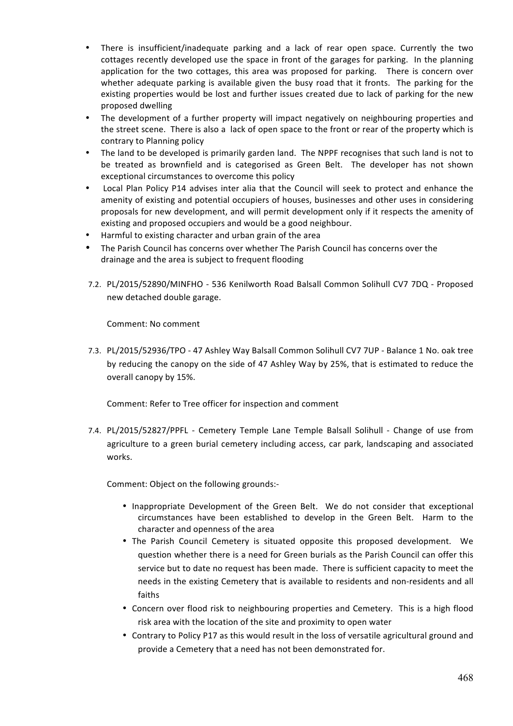- There is insufficient/inadequate parking and a lack of rear open space. Currently the two cottages recently developed use the space in front of the garages for parking. In the planning application for the two cottages, this area was proposed for parking. There is concern over whether adequate parking is available given the busy road that it fronts. The parking for the existing properties would be lost and further issues created due to lack of parking for the new proposed dwelling
- The development of a further property will impact negatively on neighbouring properties and the street scene. There is also a lack of open space to the front or rear of the property which is contrary to Planning policy
- The land to be developed is primarily garden land. The NPPF recognises that such land is not to be treated as brownfield and is categorised as Green Belt. The developer has not shown exceptional circumstances to overcome this policy
- Local Plan Policy P14 advises inter alia that the Council will seek to protect and enhance the amenity of existing and potential occupiers of houses, businesses and other uses in considering proposals for new development, and will permit development only if it respects the amenity of existing and proposed occupiers and would be a good neighbour.
- Harmful to existing character and urban grain of the area
- The Parish Council has concerns over whether The Parish Council has concerns over the drainage and the area is subject to frequent flooding
- 7.2. PL/2015/52890/MINFHO 536 Kenilworth Road Balsall Common Solihull CV7 7DQ Proposed new detached double garage.

Comment: No comment

7.3. PL/2015/52936/TPO - 47 Ashley Way Balsall Common Solihull CV7 7UP - Balance 1 No. oak tree by reducing the canopy on the side of 47 Ashley Way by 25%, that is estimated to reduce the overall canopy by 15%.

Comment: Refer to Tree officer for inspection and comment

7.4. PL/2015/52827/PPFL - Cemetery Temple Lane Temple Balsall Solihull - Change of use from agriculture to a green burial cemetery including access, car park, landscaping and associated works.

Comment: Object on the following grounds:-

- Inappropriate Development of the Green Belt. We do not consider that exceptional circumstances have been established to develop in the Green Belt. Harm to the character and openness of the area
- The Parish Council Cemetery is situated opposite this proposed development. We question whether there is a need for Green burials as the Parish Council can offer this service but to date no request has been made. There is sufficient capacity to meet the needs in the existing Cemetery that is available to residents and non-residents and all faiths
- Concern over flood risk to neighbouring properties and Cemetery. This is a high flood risk area with the location of the site and proximity to open water
- Contrary to Policy P17 as this would result in the loss of versatile agricultural ground and provide a Cemetery that a need has not been demonstrated for.